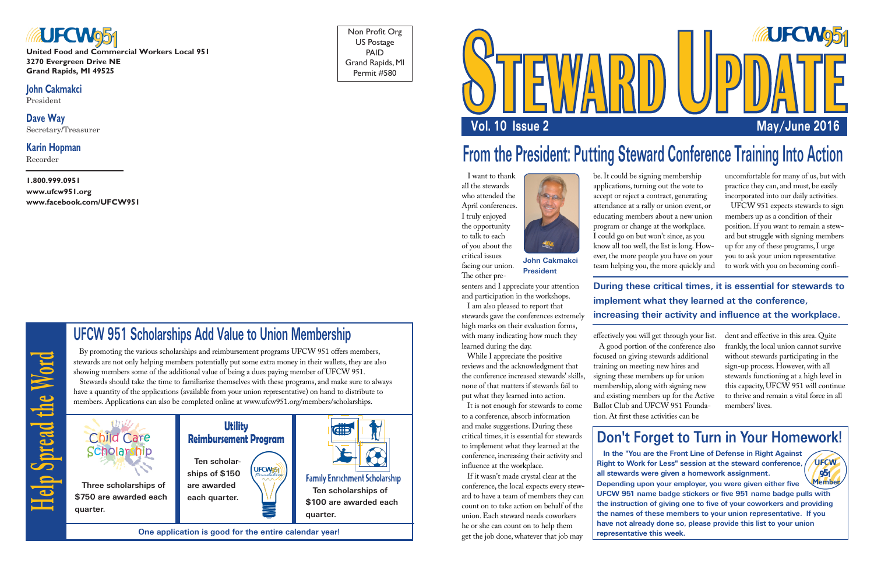



**United Food and Commercial Workers Local 951 3270 Evergreen Drive NE Grand Rapids, MI 49525**

#### **John Cakmakci**

President

**Dave Way** Secretary/Treasurer

#### **Karin Hopman**

Recorder

#### **1.800.999.0951 www.ufcw951.org www.facebook.com/UFCW951**

Non Profit Org US Postage PAID Grand Rapids, MI Permit #580

# **From the President: Putting Steward Conference Training Into Action**

 I want to thank all the stewards who attended the April conferences. I truly enjoyed the opportunity to talk to each of you about the critical issues facing our union.

The other pre-



senters and I appreciate your attention and participation in the workshops.

 I am also pleased to report that stewards gave the conferences extremely high marks on their evaluation forms, with many indicating how much they learned during the day.

 While I appreciate the positive reviews and the acknowledgment that the conference increased stewards' skills, none of that matters if stewards fail to put what they learned into action.

 It is not enough for stewards to come to a conference, absorb information and make suggestions. During these critical times, it is essential for stewards to implement what they learned at the conference, increasing their activity and influence at the workplace.

 If it wasn't made crystal clear at the conference, the local expects every steward to have a team of members they can count on to take action on behalf of the union. Each steward needs coworkers he or she can count on to help them get the job done, whatever that job may

be. It could be signing membership applications, turning out the vote to accept or reject a contract, generating attendance at a rally or union event, or educating members about a new union program or change at the workplace. I could go on but won't since, as you know all too well, the list is long. However, the more people you have on your team helping you, the more quickly and

A good portion of the conference also

effectively you will get through your list. focused on giving stewards additional training on meeting new hires and signing these members up for union membership, along with signing new and existing members up for the Active Ballot Club and UFCW 951 Foundation. At first these activities can be

uncomfortable for many of us, but with practice they can, and must, be easily incorporated into our daily activities.

 UFCW 951 expects stewards to sign members up as a condition of their position. If you want to remain a steward but struggle with signing members up for any of these programs, I urge you to ask your union representative to work with you on becoming confi-

dent and effective in this area. Quite frankly, the local union cannot survive without stewards participating in the sign-up process. However, with all stewards functioning at a high level in this capacity, UFCW 951 will continue to thrive and remain a vital force in all members' lives.

**UFCW** 

951

**John Cakmakci President**

## **Don't Forget to Turn in Your Homework!**

 **In the "You are the Front Line of Defense in Right Against Right to Work for Less" session at the steward conference, all stewards were given a homework assignment.** 

**Depending upon your employer, you were given either five UFCW 951 name badge stickers or five 951 name badge pulls with the instruction of giving one to five of your coworkers and providing the names of these members to your union representative. If you have not already done so, please provide this list to your union representative this week. Member**

### **During these critical times, it is essential for stewards to implement what they learned at the conference, increasing their activity and influence at the workplace.**

**Help Spread the Word**

Help Spread the Word

# **UFCW 951 Scholarships Add Value to Union Membership**

 By promoting the various scholarships and reimbursement programs UFCW 951 offers members, stewards are not only helping members potentially put some extra money in their wallets, they are also showing members some of the additional value of being a dues paying member of UFCW 951. Stewards should take the time to familiarize themselves with these programs, and make sure to always have a quantity of the applications (available from your union representative) on hand to distribute to members. Applications can also be completed online at www.ufcw951.org/members/scholarships.